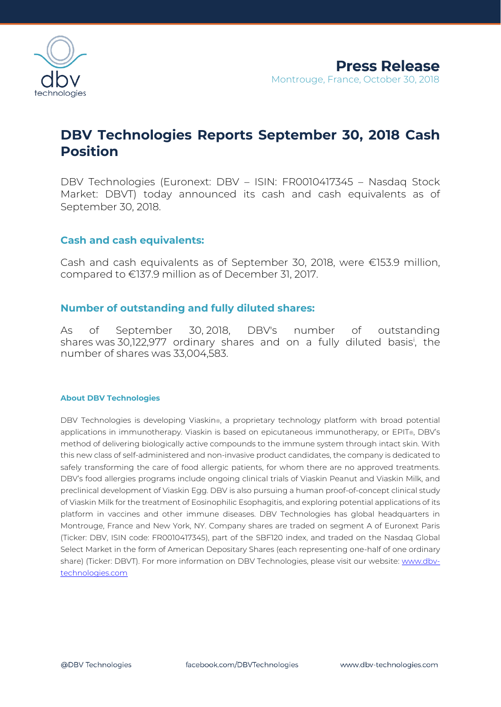

# **DBV Technologies Reports September 30, 2018 Cash Position**

DBV Technologies (Euronext: DBV – ISIN: FR0010417345 – Nasdaq Stock Market: DBVT) today announced its cash and cash equivalents as of September 30, 2018.

## **Cash and cash equivalents:**

Cash and cash equivalents as of September 30, 2018, were €153.9 million, compared to €137.9 million as of December 31, 2017.

## **Number of outstanding and fully diluted shares:**

As of September 30, 2018, DBV's number of outstanding shares was 30,122,977 ordinary shares and on a fully diluted basis<sup>i</sup> , the number of shares was 33,004,583.

### **About DBV Technologies**

DBV Technologies is developing Viaskin®, a proprietary technology platform with broad potential applications in immunotherapy. Viaskin is based on epicutaneous immunotherapy, or EPIT®, DBV's method of delivering biologically active compounds to the immune system through intact skin. With this new class of self-administered and non-invasive product candidates, the company is dedicated to safely transforming the care of food allergic patients, for whom there are no approved treatments. DBV's food allergies programs include ongoing clinical trials of Viaskin Peanut and Viaskin Milk, and preclinical development of Viaskin Egg. DBV is also pursuing a human proof-of-concept clinical study of Viaskin Milk for the treatment of Eosinophilic Esophagitis, and exploring potential applications of its platform in vaccines and other immune diseases. DBV Technologies has global headquarters in Montrouge, France and New York, NY. Company shares are traded on segment A of Euronext Paris (Ticker: DBV, ISIN code: FR0010417345), part of the SBF120 index, and traded on the Nasdaq Global Select Market in the form of American Depositary Shares (each representing one-half of one ordinary share) (Ticker: DBVT). For more information on DBV Technologies, please visit our website: [www.dbv](http://www.dbv-technologies.com/)[technologies.com](http://www.dbv-technologies.com/)